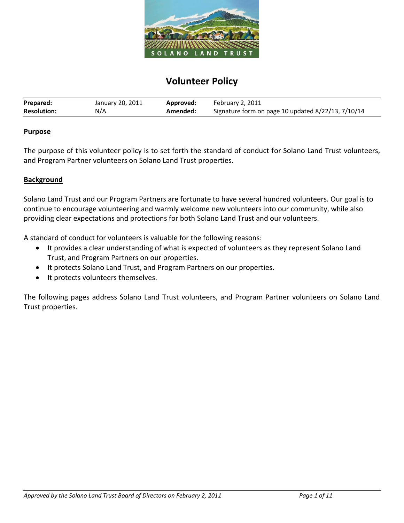

# **Volunteer Policy**

| Prepared:          | January 20, 2011 | Approved: | February 2, 2011                                   |
|--------------------|------------------|-----------|----------------------------------------------------|
| <b>Resolution:</b> | N/A              | Amended:  | Signature form on page 10 updated 8/22/13, 7/10/14 |

#### **Purpose**

The purpose of this volunteer policy is to set forth the standard of conduct for Solano Land Trust volunteers, and Program Partner volunteers on Solano Land Trust properties.

## **Background**

Solano Land Trust and our Program Partners are fortunate to have several hundred volunteers. Our goal is to continue to encourage volunteering and warmly welcome new volunteers into our community, while also providing clear expectations and protections for both Solano Land Trust and our volunteers.

A standard of conduct for volunteers is valuable for the following reasons:

- It provides a clear understanding of what is expected of volunteers as they represent Solano Land Trust, and Program Partners on our properties.
- It protects Solano Land Trust, and Program Partners on our properties.
- It protects volunteers themselves.

The following pages address Solano Land Trust volunteers, and Program Partner volunteers on Solano Land Trust properties.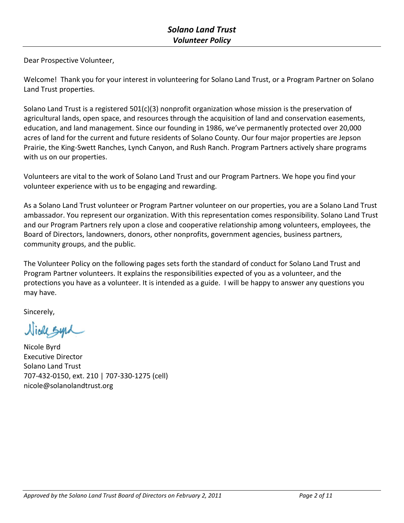Dear Prospective Volunteer,

Welcome! Thank you for your interest in volunteering for Solano Land Trust, or a Program Partner on Solano Land Trust properties.

Solano Land Trust is a registered 501(c)(3) nonprofit organization whose mission is the preservation of agricultural lands, open space, and resources through the acquisition of land and conservation easements, education, and land management. Since our founding in 1986, we've permanently protected over 20,000 acres of land for the current and future residents of Solano County. Our four major properties are Jepson Prairie, the King-Swett Ranches, Lynch Canyon, and Rush Ranch. Program Partners actively share programs with us on our properties.

Volunteers are vital to the work of Solano Land Trust and our Program Partners. We hope you find your volunteer experience with us to be engaging and rewarding.

As a Solano Land Trust volunteer or Program Partner volunteer on our properties, you are a Solano Land Trust ambassador. You represent our organization. With this representation comes responsibility. Solano Land Trust and our Program Partners rely upon a close and cooperative relationship among volunteers, employees, the Board of Directors, landowners, donors, other nonprofits, government agencies, business partners, community groups, and the public.

The Volunteer Policy on the following pages sets forth the standard of conduct for Solano Land Trust and Program Partner volunteers. It explains the responsibilities expected of you as a volunteer, and the protections you have as a volunteer. It is intended as a guide. I will be happy to answer any questions you may have.

Sincerely,

Wiede Syrd

Nicole Byrd Executive Director Solano Land Trust 707-432-0150, ext. 210 | 707-330-1275 (cell) nicole@solanolandtrust.org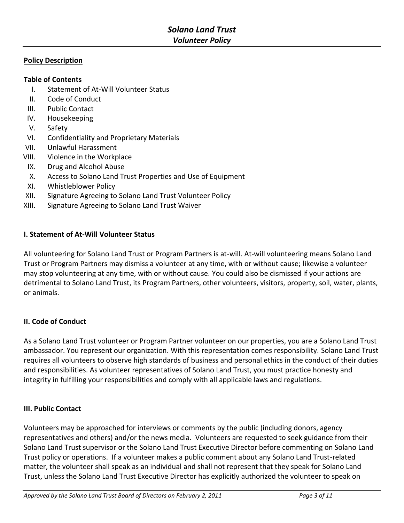## **Policy Description**

## **Table of Contents**

- I. Statement of At-Will Volunteer Status
- II. Code of Conduct
- III. Public Contact
- IV. Housekeeping
- V. Safety
- VI. Confidentiality and Proprietary Materials
- VII. Unlawful Harassment
- VIII. Violence in the Workplace
- IX. Drug and Alcohol Abuse
- X. Access to Solano Land Trust Properties and Use of Equipment
- XI. Whistleblower Policy
- XII. Signature Agreeing to Solano Land Trust Volunteer Policy
- XIII. Signature Agreeing to Solano Land Trust Waiver

## **I. Statement of At-Will Volunteer Status**

All volunteering for Solano Land Trust or Program Partners is at-will. At-will volunteering means Solano Land Trust or Program Partners may dismiss a volunteer at any time, with or without cause; likewise a volunteer may stop volunteering at any time, with or without cause. You could also be dismissed if your actions are detrimental to Solano Land Trust, its Program Partners, other volunteers, visitors, property, soil, water, plants, or animals.

## **II. Code of Conduct**

As a Solano Land Trust volunteer or Program Partner volunteer on our properties, you are a Solano Land Trust ambassador. You represent our organization. With this representation comes responsibility. Solano Land Trust requires all volunteers to observe high standards of business and personal ethics in the conduct of their duties and responsibilities. As volunteer representatives of Solano Land Trust, you must practice honesty and integrity in fulfilling your responsibilities and comply with all applicable laws and regulations.

## **III. Public Contact**

Volunteers may be approached for interviews or comments by the public (including donors, agency representatives and others) and/or the news media. Volunteers are requested to seek guidance from their Solano Land Trust supervisor or the Solano Land Trust Executive Director before commenting on Solano Land Trust policy or operations. If a volunteer makes a public comment about any Solano Land Trust-related matter, the volunteer shall speak as an individual and shall not represent that they speak for Solano Land Trust, unless the Solano Land Trust Executive Director has explicitly authorized the volunteer to speak on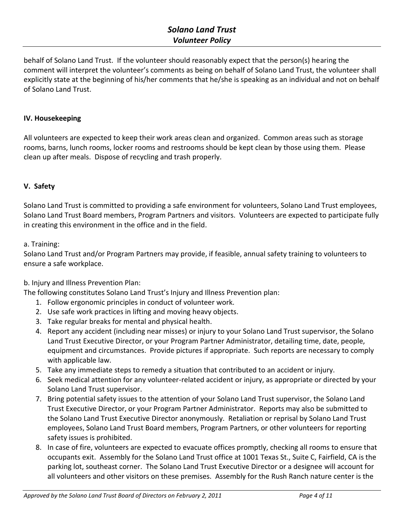# *Solano Land Trust Volunteer Policy*

behalf of Solano Land Trust. If the volunteer should reasonably expect that the person(s) hearing the comment will interpret the volunteer's comments as being on behalf of Solano Land Trust, the volunteer shall explicitly state at the beginning of his/her comments that he/she is speaking as an individual and not on behalf of Solano Land Trust.

# **IV. Housekeeping**

All volunteers are expected to keep their work areas clean and organized. Common areas such as storage rooms, barns, lunch rooms, locker rooms and restrooms should be kept clean by those using them. Please clean up after meals. Dispose of recycling and trash properly.

# **V. Safety**

Solano Land Trust is committed to providing a safe environment for volunteers, Solano Land Trust employees, Solano Land Trust Board members, Program Partners and visitors. Volunteers are expected to participate fully in creating this environment in the office and in the field.

## a. Training:

Solano Land Trust and/or Program Partners may provide, if feasible, annual safety training to volunteers to ensure a safe workplace.

b. Injury and Illness Prevention Plan:

The following constitutes Solano Land Trust's Injury and Illness Prevention plan:

- 1. Follow ergonomic principles in conduct of volunteer work.
- 2. Use safe work practices in lifting and moving heavy objects.
- 3. Take regular breaks for mental and physical health.
- 4. Report any accident (including near misses) or injury to your Solano Land Trust supervisor, the Solano Land Trust Executive Director, or your Program Partner Administrator, detailing time, date, people, equipment and circumstances. Provide pictures if appropriate. Such reports are necessary to comply with applicable law.
- 5. Take any immediate steps to remedy a situation that contributed to an accident or injury.
- 6. Seek medical attention for any volunteer-related accident or injury, as appropriate or directed by your Solano Land Trust supervisor.
- 7. Bring potential safety issues to the attention of your Solano Land Trust supervisor, the Solano Land Trust Executive Director, or your Program Partner Administrator. Reports may also be submitted to the Solano Land Trust Executive Director anonymously. Retaliation or reprisal by Solano Land Trust employees, Solano Land Trust Board members, Program Partners, or other volunteers for reporting safety issues is prohibited.
- 8. In case of fire, volunteers are expected to evacuate offices promptly, checking all rooms to ensure that occupants exit. Assembly for the Solano Land Trust office at 1001 Texas St., Suite C, Fairfield, CA is the parking lot, southeast corner. The Solano Land Trust Executive Director or a designee will account for all volunteers and other visitors on these premises. Assembly for the Rush Ranch nature center is the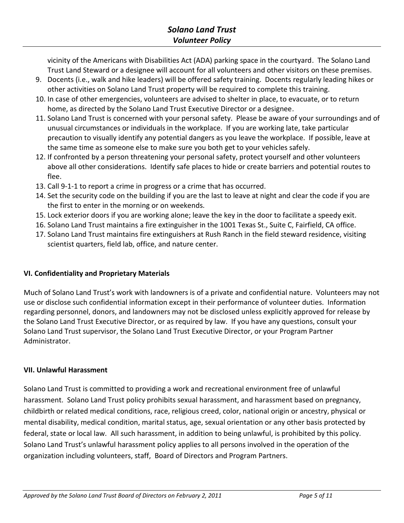vicinity of the Americans with Disabilities Act (ADA) parking space in the courtyard. The Solano Land Trust Land Steward or a designee will account for all volunteers and other visitors on these premises.

- 9. Docents (i.e., walk and hike leaders) will be offered safety training. Docents regularly leading hikes or other activities on Solano Land Trust property will be required to complete this training.
- 10. In case of other emergencies, volunteers are advised to shelter in place, to evacuate, or to return home, as directed by the Solano Land Trust Executive Director or a designee.
- 11. Solano Land Trust is concerned with your personal safety. Please be aware of your surroundings and of unusual circumstances or individuals in the workplace. If you are working late, take particular precaution to visually identify any potential dangers as you leave the workplace. If possible, leave at the same time as someone else to make sure you both get to your vehicles safely.
- 12. If confronted by a person threatening your personal safety, protect yourself and other volunteers above all other considerations. Identify safe places to hide or create barriers and potential routes to flee.
- 13. Call 9-1-1 to report a crime in progress or a crime that has occurred.
- 14. Set the security code on the building if you are the last to leave at night and clear the code if you are the first to enter in the morning or on weekends.
- 15. Lock exterior doors if you are working alone; leave the key in the door to facilitate a speedy exit.
- 16. Solano Land Trust maintains a fire extinguisher in the 1001 Texas St., Suite C, Fairfield, CA office.
- 17. Solano Land Trust maintains fire extinguishers at Rush Ranch in the field steward residence, visiting scientist quarters, field lab, office, and nature center.

# **VI. Confidentiality and Proprietary Materials**

Much of Solano Land Trust's work with landowners is of a private and confidential nature. Volunteers may not use or disclose such confidential information except in their performance of volunteer duties. Information regarding personnel, donors, and landowners may not be disclosed unless explicitly approved for release by the Solano Land Trust Executive Director, or as required by law. If you have any questions, consult your Solano Land Trust supervisor, the Solano Land Trust Executive Director, or your Program Partner Administrator.

# **VII. Unlawful Harassment**

Solano Land Trust is committed to providing a work and recreational environment free of unlawful harassment. Solano Land Trust policy prohibits sexual harassment, and harassment based on pregnancy, childbirth or related medical conditions, race, religious creed, color, national origin or ancestry, physical or mental disability, medical condition, marital status, age, sexual orientation or any other basis protected by federal, state or local law. All such harassment, in addition to being unlawful, is prohibited by this policy. Solano Land Trust's unlawful harassment policy applies to all persons involved in the operation of the organization including volunteers, staff, Board of Directors and Program Partners.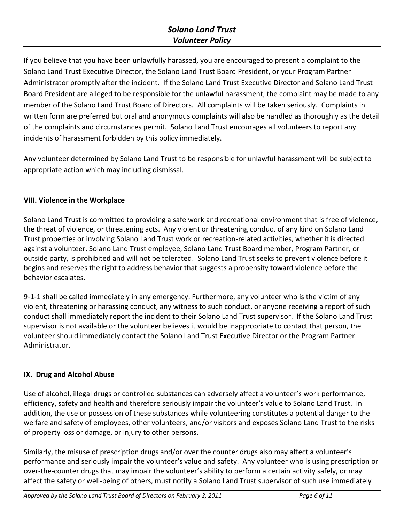# *Solano Land Trust Volunteer Policy*

If you believe that you have been unlawfully harassed, you are encouraged to present a complaint to the Solano Land Trust Executive Director, the Solano Land Trust Board President, or your Program Partner Administrator promptly after the incident. If the Solano Land Trust Executive Director and Solano Land Trust Board President are alleged to be responsible for the unlawful harassment, the complaint may be made to any member of the Solano Land Trust Board of Directors. All complaints will be taken seriously. Complaints in written form are preferred but oral and anonymous complaints will also be handled as thoroughly as the detail of the complaints and circumstances permit. Solano Land Trust encourages all volunteers to report any incidents of harassment forbidden by this policy immediately.

Any volunteer determined by Solano Land Trust to be responsible for unlawful harassment will be subject to appropriate action which may including dismissal.

# **VIII. Violence in the Workplace**

Solano Land Trust is committed to providing a safe work and recreational environment that is free of violence, the threat of violence, or threatening acts. Any violent or threatening conduct of any kind on Solano Land Trust properties or involving Solano Land Trust work or recreation-related activities, whether it is directed against a volunteer, Solano Land Trust employee, Solano Land Trust Board member, Program Partner, or outside party, is prohibited and will not be tolerated. Solano Land Trust seeks to prevent violence before it begins and reserves the right to address behavior that suggests a propensity toward violence before the behavior escalates.

9-1-1 shall be called immediately in any emergency. Furthermore, any volunteer who is the victim of any violent, threatening or harassing conduct, any witness to such conduct, or anyone receiving a report of such conduct shall immediately report the incident to their Solano Land Trust supervisor. If the Solano Land Trust supervisor is not available or the volunteer believes it would be inappropriate to contact that person, the volunteer should immediately contact the Solano Land Trust Executive Director or the Program Partner Administrator.

# **IX. Drug and Alcohol Abuse**

Use of alcohol, illegal drugs or controlled substances can adversely affect a volunteer's work performance, efficiency, safety and health and therefore seriously impair the volunteer's value to Solano Land Trust. In addition, the use or possession of these substances while volunteering constitutes a potential danger to the welfare and safety of employees, other volunteers, and/or visitors and exposes Solano Land Trust to the risks of property loss or damage, or injury to other persons.

Similarly, the misuse of prescription drugs and/or over the counter drugs also may affect a volunteer's performance and seriously impair the volunteer's value and safety. Any volunteer who is using prescription or over-the-counter drugs that may impair the volunteer's ability to perform a certain activity safely, or may affect the safety or well-being of others, must notify a Solano Land Trust supervisor of such use immediately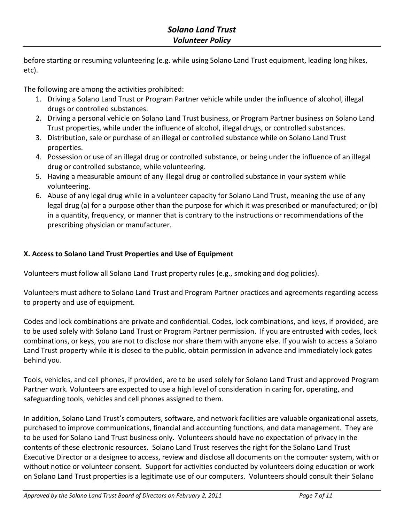before starting or resuming volunteering (e.g. while using Solano Land Trust equipment, leading long hikes, etc).

The following are among the activities prohibited:

- 1. Driving a Solano Land Trust or Program Partner vehicle while under the influence of alcohol, illegal drugs or controlled substances.
- 2. Driving a personal vehicle on Solano Land Trust business, or Program Partner business on Solano Land Trust properties, while under the influence of alcohol, illegal drugs, or controlled substances.
- 3. Distribution, sale or purchase of an illegal or controlled substance while on Solano Land Trust properties.
- 4. Possession or use of an illegal drug or controlled substance, or being under the influence of an illegal drug or controlled substance, while volunteering.
- 5. Having a measurable amount of any illegal drug or controlled substance in your system while volunteering.
- 6. Abuse of any legal drug while in a volunteer capacity for Solano Land Trust, meaning the use of any legal drug (a) for a purpose other than the purpose for which it was prescribed or manufactured; or (b) in a quantity, frequency, or manner that is contrary to the instructions or recommendations of the prescribing physician or manufacturer.

# **X. Access to Solano Land Trust Properties and Use of Equipment**

Volunteers must follow all Solano Land Trust property rules (e.g., smoking and dog policies).

Volunteers must adhere to Solano Land Trust and Program Partner practices and agreements regarding access to property and use of equipment.

Codes and lock combinations are private and confidential. Codes, lock combinations, and keys, if provided, are to be used solely with Solano Land Trust or Program Partner permission. If you are entrusted with codes, lock combinations, or keys, you are not to disclose nor share them with anyone else. If you wish to access a Solano Land Trust property while it is closed to the public, obtain permission in advance and immediately lock gates behind you.

Tools, vehicles, and cell phones, if provided, are to be used solely for Solano Land Trust and approved Program Partner work. Volunteers are expected to use a high level of consideration in caring for, operating, and safeguarding tools, vehicles and cell phones assigned to them.

In addition, Solano Land Trust's computers, software, and network facilities are valuable organizational assets, purchased to improve communications, financial and accounting functions, and data management. They are to be used for Solano Land Trust business only. Volunteers should have no expectation of privacy in the contents of these electronic resources. Solano Land Trust reserves the right for the Solano Land Trust Executive Director or a designee to access, review and disclose all documents on the computer system, with or without notice or volunteer consent. Support for activities conducted by volunteers doing education or work on Solano Land Trust properties is a legitimate use of our computers. Volunteers should consult their Solano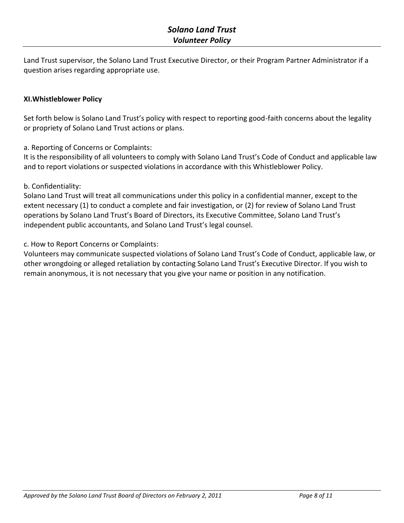Land Trust supervisor, the Solano Land Trust Executive Director, or their Program Partner Administrator if a question arises regarding appropriate use.

## **XI.Whistleblower Policy**

Set forth below is Solano Land Trust's policy with respect to reporting good-faith concerns about the legality or propriety of Solano Land Trust actions or plans.

a. Reporting of Concerns or Complaints:

It is the responsibility of all volunteers to comply with Solano Land Trust's Code of Conduct and applicable law and to report violations or suspected violations in accordance with this Whistleblower Policy.

## b. Confidentiality:

Solano Land Trust will treat all communications under this policy in a confidential manner, except to the extent necessary (1) to conduct a complete and fair investigation, or (2) for review of Solano Land Trust operations by Solano Land Trust's Board of Directors, its Executive Committee, Solano Land Trust's independent public accountants, and Solano Land Trust's legal counsel.

c. How to Report Concerns or Complaints:

Volunteers may communicate suspected violations of Solano Land Trust's Code of Conduct, applicable law, or other wrongdoing or alleged retaliation by contacting Solano Land Trust's Executive Director. If you wish to remain anonymous, it is not necessary that you give your name or position in any notification.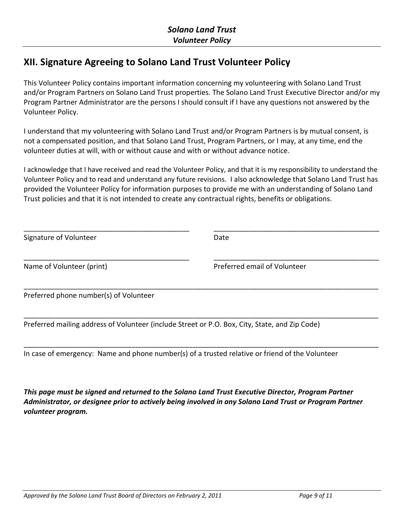# **XII. Signature Agreeing to Solano Land Trust Volunteer Policy**

This Volunteer Policy contains important information concerning my volunteering with Solano Land Trust and/or Program Partners on Solano Land Trust properties. The Solano Land Trust Executive Director and/or my Program Partner Administrator are the persons I should consult if I have any questions not answered by the Volunteer Policy.

I understand that my volunteering with Solano Land Trust and/or Program Partners is by mutual consent, is not a compensated position, and that Solano Land Trust, Program Partners, or I may, at any time, end the volunteer duties at will, with or without cause and with or without advance notice.

I acknowledge that I have received and read the Volunteer Policy, and that it is my responsibility to understand the Volunteer Policy and to read and understand any future revisions. I also acknowledge that Solano Land Trust has provided the Volunteer Policy for information purposes to provide me with an understanding of Solano Land Trust policies and that it is not intended to create any contractual rights, benefits or obligations.

| Signature of Volunteer                 | Date                                                                                           |
|----------------------------------------|------------------------------------------------------------------------------------------------|
| Name of Volunteer (print)              | Preferred email of Volunteer                                                                   |
| Preferred phone number(s) of Volunteer |                                                                                                |
|                                        | Preferred mailing address of Volunteer (include Street or P.O. Box, City, State, and Zip Code) |

\_\_\_\_\_\_\_\_\_\_\_\_\_\_\_\_\_\_\_\_\_\_\_\_\_\_\_\_\_\_\_\_\_\_\_\_\_\_\_\_\_\_\_\_\_\_\_\_\_\_\_\_\_\_\_\_\_\_\_\_\_\_\_\_\_\_\_\_\_\_\_\_\_\_\_\_\_\_\_\_\_\_\_\_\_\_\_\_\_\_ In case of emergency: Name and phone number(s) of a trusted relative or friend of the Volunteer

*This page must be signed and returned to the Solano Land Trust Executive Director, Program Partner Administrator, or designee prior to actively being involved in any Solano Land Trust or Program Partner volunteer program.*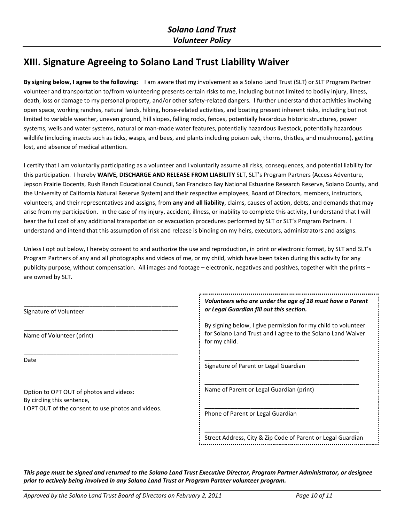# **XIII. Signature Agreeing to Solano Land Trust Liability Waiver**

**By signing below, I agree to the following:** I am aware that my involvement as a Solano Land Trust (SLT) or SLT Program Partner volunteer and transportation to/from volunteering presents certain risks to me, including but not limited to bodily injury, illness, death, loss or damage to my personal property, and/or other safety-related dangers. I further understand that activities involving open space, working ranches, natural lands, hiking, horse-related activities, and boating present inherent risks, including but not limited to variable weather, uneven ground, hill slopes, falling rocks, fences, potentially hazardous historic structures, power systems, wells and water systems, natural or man-made water features, potentially hazardous livestock, potentially hazardous wildlife (including insects such as ticks, wasps, and bees, and plants including poison oak, thorns, thistles, and mushrooms), getting lost, and absence of medical attention.

I certify that I am voluntarily participating as a volunteer and I voluntarily assume all risks, consequences, and potential liability for this participation. I hereby **WAIVE, DISCHARGE AND RELEASE FROM LIABILITY** SLT, SLT's Program Partners (Access Adventure, Jepson Prairie Docents, Rush Ranch Educational Council, San Francisco Bay National Estuarine Research Reserve, Solano County, and the University of California Natural Reserve System) and their respective employees, Board of Directors, members, instructors, volunteers, and their representatives and assigns, from **any and all liability**, claims, causes of action, debts, and demands that may arise from my participation. In the case of my injury, accident, illness, or inability to complete this activity, I understand that I will bear the full cost of any additional transportation or evacuation procedures performed by SLT or SLT's Program Partners. I understand and intend that this assumption of risk and release is binding on my heirs, executors, administrators and assigns.

Unless I opt out below, I hereby consent to and authorize the use and reproduction, in print or electronic format, by SLT and SLT's Program Partners of any and all photographs and videos of me, or my child, which have been taken during this activity for any publicity purpose, without compensation. All images and footage – electronic, negatives and positives, together with the prints – are owned by SLT.

| Signature of Volunteer                                                | Volunteers who are under the age of 18 must have a Parent<br>or Legal Guardian fill out this section.                                         |
|-----------------------------------------------------------------------|-----------------------------------------------------------------------------------------------------------------------------------------------|
| Name of Volunteer (print)                                             | By signing below, I give permission for my child to volunteer<br>for Solano Land Trust and I agree to the Solano Land Waiver<br>for my child. |
| Date                                                                  | Signature of Parent or Legal Guardian                                                                                                         |
| Option to OPT OUT of photos and videos:<br>By circling this sentence, | Name of Parent or Legal Guardian (print)                                                                                                      |
| I OPT OUT of the consent to use photos and videos.                    | Phone of Parent or Legal Guardian                                                                                                             |
|                                                                       | Street Address, City & Zip Code of Parent or Legal Guardian                                                                                   |

*This page must be signed and returned to the Solano Land Trust Executive Director, Program Partner Administrator, or designee prior to actively being involved in any Solano Land Trust or Program Partner volunteer program.*